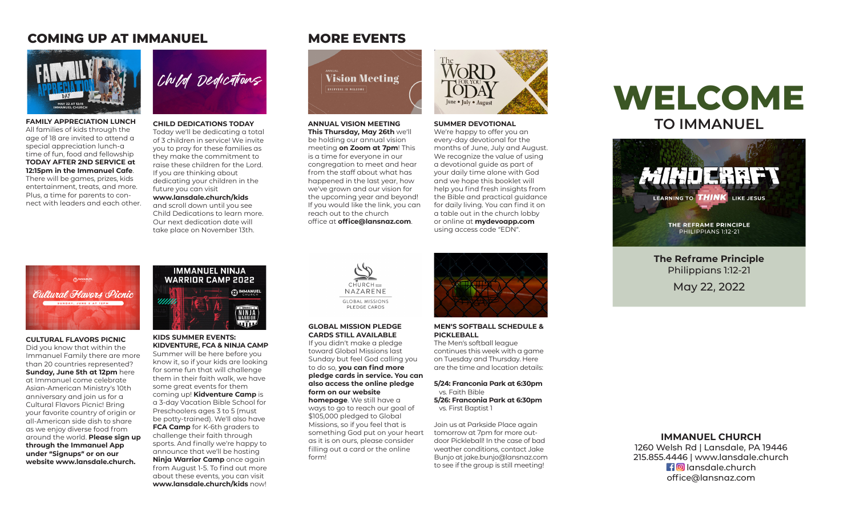# **COMING UP AT IMMANUEL MORE EVENTS**



**Family Appreciation Lunch** All families of kids through the age of 18 are invited to attend a special appreciation lunch-a time of fun, food and fellowship **TODAY AFTER 2ND SERVICE at 12:15pm in the Immanuel Cafe**. There will be games, prizes, kids entertainment, treats, and more. Plus, a time for parents to connect with leaders and each other.



**Child Dedications Today** Today we'll be dedicating a total of 3 children in service! We invite you to pray for these families as they make the commitment to raise these children for the Lord. If you are thinking about dedicating your children in the future you can visit

#### **www.lansdale.church/kids**

and scroll down until you see Child Dedications to learn more. Our next dedication date will take place on November 13th.

**Vision Meeting** 

**Annual Vision Meeting This Thursday, May 26th** we'll be holding our annual vision meeting **on Zoom at 7pm**! This is a time for everyone in our congregation to meet and hear from the staff about what has happened in the last year, how we've grown and our vision for the upcoming year and beyond! If you would like the link, you can reach out to the church office at **office@lansnaz.com**.



#### **Summer Devotional**

We're happy to offer you an every-day devotional for the months of June, July and August. We recognize the value of using a devotional guide as part of your daily time alone with God and we hope this booklet will help you find fresh insights from the Bible and practical guidance for daily living. You can find it on a table out in the church lobby or online at **mydevoapp.com** using access code "EDN".

# **WELCOME to Immanuel**



**The Reframe Principle** Philippians 1:12-21 May 22, 2022

*Cultural Flavors Picnic* SUNDAY, JUNE 5 AT 12PM

#### **CULTURAL FLAVORS PICNIC**

Did you know that within the Immanuel Family there are more than 20 countries represented? **Sunday, June 5th at 12pm** here at Immanuel come celebrate Asian-American Ministry's 10th anniversary and join us for a Cultural Flavors Picnic! Bring your favorite country of origin or all-American side dish to share as we enjoy diverse food from around the world. **Please sign up through the Immanuel App under "Signups" or on our website www.lansdale.church.**



#### **Kids Summer Events: Kidventure, FCA & Ninja Camp** Summer will be here before you know it, so if your kids are looking

for some fun that will challenge them in their faith walk, we have some great events for them coming up! **Kidventure Camp** is a 3-day Vacation Bible School for Preschoolers ages 3 to 5 (must be potty-trained). We'll also have **FCA Camp** for K-6th graders to challenge their faith through sports. And finally we're happy to announce that we'll be hosting **Ninja Warrior Camp** once again from August 1-5. To find out more about these events, you can visit **www.lansdale.church/kids** now!



#### **Global Mission Pledge Cards still available**

If you didn't make a pledge toward Global Missions last Sunday but feel God calling you to do so, **you can find more pledge cards in service. You can also access the online pledge form on our website homepage**. We still have a

ways to go to reach our goal of \$105,000 pledged to Global Missions, so if you feel that is something God put on your heart as it is on ours, please consider filling out a card or the online form!



#### **Men's Softball Schedule & Pickleball**

The Men's softball league continues this week with a game on Tuesday and Thursday. Here are the time and location details:

**5/24: Franconia Park at 6:30pm** vs. Faith Bible **5/26: Franconia Park at 6:30pm** vs. First Baptist 1

Join us at Parkside Place again tomorrow at 7pm for more outdoor Pickleball! In the case of bad weather conditions, contact Jake Bunjo at jake.bunjo@lansnaz.com to see if the group is still meeting!

### **Immanuel Church**

1260 Welsh Rd | Lansdale, PA 19446 215.855.4446 | www.lansdale.church **f o** lansdale.church office@lansnaz.com